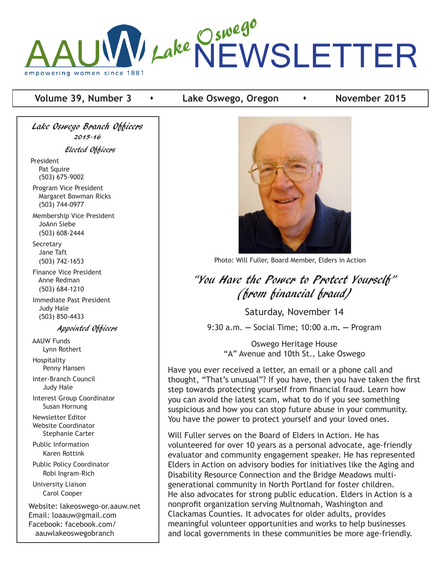

# **Volume 39, Number 3 •** Lake Oswego, Oregon **•** November 2015

Lake Oswego Branch Officers 2015-16 Elected Officers President Pat Squire (503) 675-9002 Program Vice President Margaret Bowman Ricks (503) 744-0977 Membership Vice President JoAnn Siebe (503) 608-2444

**Secretary**  Jane Taft (503) 742-1653

 Finance Vice President Anne Redman (503) 684-1210

 Immediate Past President Judy Hale (503) 850-4433

Appointed Officers

 AAUW Funds Lynn Rothert Hospitality Penny Hansen Inter-Branch Council Judy Hale Interest Group Coordinator Susan Hornung Newsletter Editor Website Coordinator Stephanie Carter Public Information Karen Rottink Public Policy Coordinator Robi Ingram-Rich University Liaison Carol Cooper

Website: lakeoswego-or.aauw.net Email: loaauw@gmail.com Facebook: facebook.com/ aauwlakeoswegobranch



Photo: Will Fuller, Board Member, Elders in Action

# "You Have the Power to Protect Yourself" (from financial fraud)

Saturday, November 14

9:30 a.m. **—** Social Time; 10:00 a.m**. —** Program

Oswego Heritage House "A" Avenue and 10th St., Lake Oswego

Have you ever received a letter, an email or a phone call and thought, "That's unusual"? If you have, then you have taken the first step towards protecting yourself from financial fraud. Learn how you can avoid the latest scam, what to do if you see something suspicious and how you can stop future abuse in your community. You have the power to protect yourself and your loved ones.

Will Fuller serves on the Board of Elders in Action. He has volunteered for over 10 years as a personal advocate, age-friendly evaluator and community engagement speaker. He has represented Elders in Action on advisory bodies for initiatives like the Aging and Disability Resource Connection and the Bridge Meadows multigenerational community in North Portland for foster children. He also advocates for strong public education. Elders in Action is a nonprofit organization serving Multnomah, Washington and Clackamas Counties. It advocates for older adults, provides meaningful volunteer opportunities and works to help businesses and local governments in these communities be more age-friendly.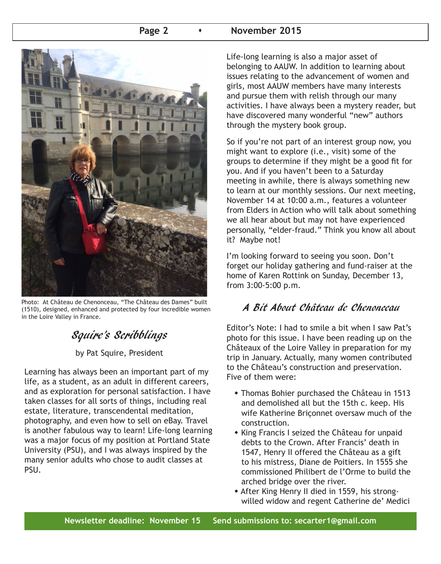#### **Page 2 b b November 2015**



Photo: At Château de Chenonceau, "The Château des Dames" built (1510), designed, enhanced and protected by four incredible women in the Loire Valley in France.

# Squire's Scribblings

by Pat Squire, President

Learning has always been an important part of my life, as a student, as an adult in different careers, and as exploration for personal satisfaction. I have taken classes for all sorts of things, including real estate, literature, transcendental meditation, photography, and even how to sell on eBay. Travel is another fabulous way to learn! Life-long learning was a major focus of my position at Portland State University (PSU), and I was always inspired by the many senior adults who chose to audit classes at PSU.

Life-long learning is also a major asset of belonging to AAUW. In addition to learning about issues relating to the advancement of women and girls, most AAUW members have many interests and pursue them with relish through our many activities. I have always been a mystery reader, but have discovered many wonderful "new" authors through the mystery book group.

So if you're not part of an interest group now, you might want to explore (i.e., visit) some of the groups to determine if they might be a good fit for you. And if you haven't been to a Saturday meeting in awhile, there is always something new to learn at our monthly sessions. Our next meeting, November 14 at 10:00 a.m., features a volunteer from Elders in Action who will talk about something we all hear about but may not have experienced personally, "elder-fraud." Think you know all about it? Maybe not!

I'm looking forward to seeing you soon. Don't forget our holiday gathering and fund-raiser at the home of Karen Rottink on Sunday, December 13, from 3:00-5:00 p.m.

# A Bit About Château de Chenonceau

Editor's Note: I had to smile a bit when I saw Pat's photo for this issue. I have been reading up on the Châteaux of the Loire Valley in preparation for my trip in January. Actually, many women contributed to the Château's construction and preservation. Five of them were:

- Thomas Bohier purchased the Château in 1513 and demolished all but the 15th c. keep. His wife Katherine Briçonnet oversaw much of the construction.
- $\bullet$  King Francis I seized the Château for unpaid debts to the Crown. After Francis' death in 1547, Henry II offered the Château as a gift to his mistress, Diane de Poitiers. In 1555 she commissioned Philibert de l'Orme to build the arched bridge over the river.
- \* After King Henry II died in 1559, his strongwilled widow and regent Catherine de' Medici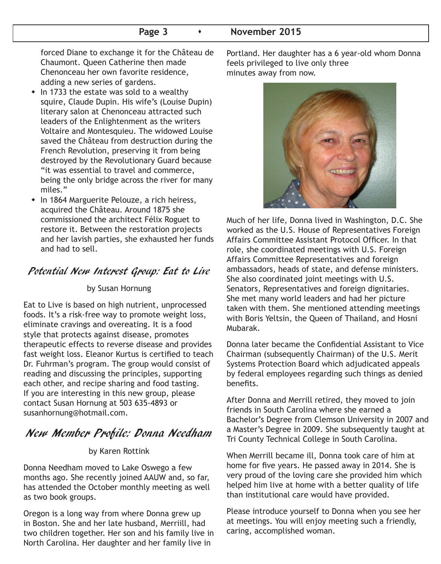#### **Page 3 b November 2015**

 forced Diane to exchange it for the Château de Chaumont. Queen Catherine then made Chenonceau her own favorite residence, adding a new series of gardens.

- $\bullet$  In 1733 the estate was sold to a wealthy squire, Claude Dupin. His wife's (Louise Dupin) literary salon at Chenonceau attracted such leaders of the Enlightenment as the writers Voltaire and Montesquieu. The widowed Louise saved the Château from destruction during the French Revolution, preserving it from being destroyed by the Revolutionary Guard because "it was essential to travel and commerce, being the only bridge across the river for many miles."
- In 1864 Marguerite Pelouze, a rich heiress, acquired the Château. Around 1875 she commissioned the architect Félix Roguet to restore it. Between the restoration projects and her lavish parties, she exhausted her funds and had to sell.

# Potential New Interest Group: Eat to Live

#### by Susan Hornung

Eat to Live is based on high nutrient, unprocessed foods. It's a risk-free way to promote weight loss, eliminate cravings and overeating. It is a food style that protects against disease, promotes therapeutic effects to reverse disease and provides fast weight loss. Eleanor Kurtus is certified to teach Dr. Fuhrman's program. The group would consist of reading and discussing the principles, supporting each other, and recipe sharing and food tasting. If you are interesting in this new group, please contact Susan Hornung at 503 635-4893 or susanhornung@hotmail.com.

# New Member Profile: Donna Needham

#### by Karen Rottink

Donna Needham moved to Lake Oswego a few months ago. She recently joined AAUW and, so far, has attended the October monthly meeting as well as two book groups.

Oregon is a long way from where Donna grew up in Boston. She and her late husband, Merriill, had two children together. Her son and his family live in North Carolina. Her daughter and her family live in

Portland. Her daughter has a 6 year-old whom Donna feels privileged to live only three minutes away from now.



Much of her life, Donna lived in Washington, D.C. She worked as the U.S. House of Representatives Foreign Affairs Committee Assistant Protocol Officer. In that role, she coordinated meetings with U.S. Foreign Affairs Committee Representatives and foreign ambassadors, heads of state, and defense ministers. She also coordinated joint meetings with U.S. Senators, Representatives and foreign dignitaries. She met many world leaders and had her picture taken with them. She mentioned attending meetings with Boris Yeltsin, the Queen of Thailand, and Hosni Mubarak.

Donna later became the Confidential Assistant to Vice Chairman (subsequently Chairman) of the U.S. Merit Systems Protection Board which adjudicated appeals by federal employees regarding such things as denied benefits.

After Donna and Merrill retired, they moved to join friends in South Carolina where she earned a Bachelor's Degree from Clemson University in 2007 and a Master's Degree in 2009. She subsequently taught at Tri County Technical College in South Carolina.

When Merrill became ill, Donna took care of him at home for five years. He passed away in 2014. She is very proud of the loving care she provided him which helped him live at home with a better quality of life than institutional care would have provided.

Please introduce yourself to Donna when you see her at meetings. You will enjoy meeting such a friendly, caring, accomplished woman.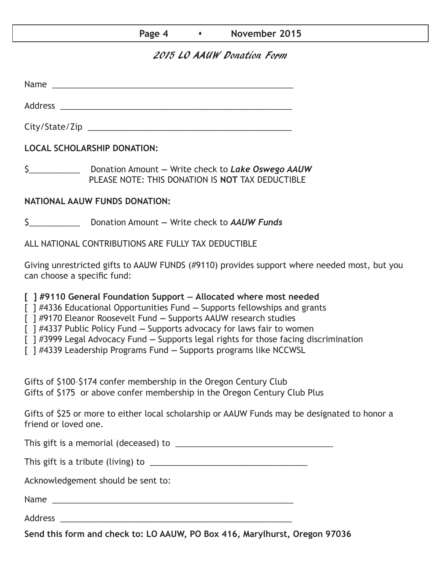| Page 4 | November 2015 |
|--------|---------------|
|--------|---------------|

### 2015 LO AAUW Donation Form

Name  $\sim$ 

City/State/Zip 2000 and 2000 and 2000 and 2000 and 2000 and 2000 and 2000 and 2000 and 2000 and 200

Address \_\_\_\_\_\_\_\_\_\_\_\_\_\_\_\_\_\_\_\_\_\_\_\_\_\_\_\_\_\_\_\_\_\_\_\_\_\_\_\_\_\_\_\_\_\_\_\_\_\_

**LOCAL SCHOLARSHIP DONATION:**

\$\_\_\_\_\_\_\_\_\_\_\_ Donation Amount **—** Write check to *Lake Oswego AAUW* PLEASE NOTE: THIS DONATION IS **NOT** TAX DEDUCTIBLE

#### **NATIONAL AAUW FUNDS DONATION:**

\$\_\_\_\_\_\_\_\_\_\_\_ Donation Amount **—** Write check to *AAUW Funds*

ALL NATIONAL CONTRIBUTIONS ARE FULLY TAX DEDUCTIBLE

Giving unrestricted gifts to AAUW FUNDS (#9110) provides support where needed most, but you can choose a specific fund:

**[ ] #9110 General Foundation Support — Allocated where most needed** 

[ ] #4336 Educational Opportunities Fund **—** Supports fellowships and grants

[ ] #9170 Eleanor Roosevelt Fund **—** Supports AAUW research studies

[ ] #4337 Public Policy Fund **—** Supports advocacy for laws fair to women

[ ] #3999 Legal Advocacy Fund **—** Supports legal rights for those facing discrimination

[ ] #4339 Leadership Programs Fund **—** Supports programs like NCCWSL

Gifts of \$100–\$174 confer membership in the Oregon Century Club Gifts of \$175 or above confer membership in the Oregon Century Club Plus

Gifts of \$25 or more to either local scholarship or AAUW Funds may be designated to honor a friend or loved one.

This gift is a memorial (deceased) to \_\_\_\_\_\_\_\_\_\_\_\_\_\_\_\_\_\_\_\_\_\_\_\_\_\_\_\_\_\_\_\_\_\_

This gift is a tribute (living) to \_\_\_\_\_\_\_\_\_\_\_\_\_\_\_\_\_\_\_\_\_\_\_\_\_\_\_\_\_\_\_\_\_\_

Acknowledgement should be sent to:

Name \_\_\_\_\_\_\_\_\_\_\_\_\_\_\_\_\_\_\_\_\_\_\_\_\_\_\_\_\_\_\_\_\_\_\_\_\_\_\_\_\_\_\_\_\_\_\_\_\_\_\_\_

Address \_\_\_\_\_\_\_\_\_\_\_\_\_\_\_\_\_\_\_\_\_\_\_\_\_\_\_\_\_\_\_\_\_\_\_\_\_\_\_\_\_\_\_\_\_\_\_\_\_\_

**Send this form and check to: LO AAUW, PO Box 416, Marylhurst, Oregon 97036**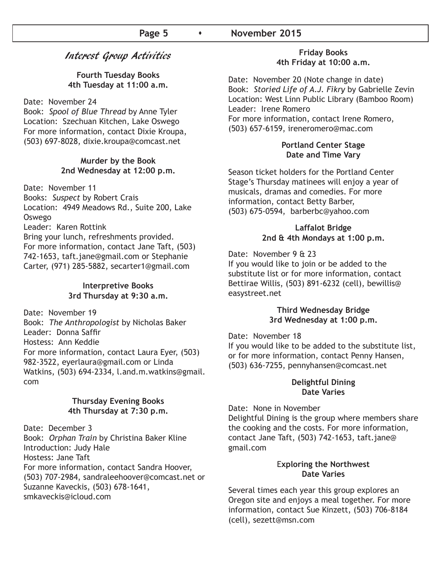## Interest Group Activities

**Fourth Tuesday Books 4th Tuesday at 11:00 a.m.**

Date: November 24

Book: *Spool of Blue Thread* by Anne Tyler Location: Szechuan Kitchen, Lake Oswego For more information, contact Dixie Kroupa, (503) 697-8028, dixie.kroupa@comcast.net

#### **Murder by the Book 2nd Wednesday at 12:00 p.m.**

Date: November 11

Books: *Suspect* by Robert Crais

Location: 4949 Meadows Rd., Suite 200, Lake Oswego

Leader: Karen Rottink

Bring your lunch, refreshments provided. For more information, contact Jane Taft, (503) 742-1653, taft.jane@gmail.com or Stephanie Carter, (971) 285-5882, secarter1@gmail.com

#### **Interpretive Books 3rd Thursday at 9:30 a.m.**

Date: November 19 Book: *The Anthropologist* by Nicholas Baker Leader: Donna Saffir Hostess: Ann Keddie For more information, contact Laura Eyer, (503) 982-3522, eyerlaura@gmail.com or Linda Watkins, (503) 694-2334, l.and.m.watkins@gmail. com

#### **Thursday Evening Books 4th Thursday at 7:30 p.m.**

Date: December 3 Book: *Orphan Train* by Christina Baker Kline Introduction: Judy Hale Hostess: Jane Taft For more information, contact Sandra Hoover, (503) 707-2984, sandraleehoover@comcast.net or Suzanne Kaveckis, (503) 678-1641, smkaveckis@icloud.com

#### **Friday Books 4th Friday at 10:00 a.m.**

Date: November 20 (Note change in date) Book: *Storied Life of A.J. Fikry* by Gabrielle Zevin Location: West Linn Public Library (Bamboo Room) Leader: Irene Romero For more information, contact Irene Romero, (503) 657-6159, ireneromero@mac.com

#### **Portland Center Stage Date and Time Vary**

Season ticket holders for the Portland Center Stage's Thursday matinees will enjoy a year of musicals, dramas and comedies. For more information, contact Betty Barber, (503) 675-0594, barberbc@yahoo.com

#### **Laffalot Bridge 2nd & 4th Mondays at 1:00 p.m.**

Date: November 9 & 23

If you would like to join or be added to the substitute list or for more information, contact Bettirae Willis, (503) 891-6232 (cell), bewillis@ easystreet.net

#### **Third Wednesday Bridge 3rd Wednesday at 1:00 p.m.**

Date: November 18

If you would like to be added to the substitute list, or for more information, contact Penny Hansen, (503) 636-7255, pennyhansen@comcast.net

#### **Delightful Dining Date Varies**

Date: None in November Delightful Dining is the group where members share the cooking and the costs. For more information, contact Jane Taft, (503) 742-1653, taft.jane@ gmail.com

#### E**xploring the Northwest Date Varies**

Several times each year this group explores an Oregon site and enjoys a meal together. For more information, contact Sue Kinzett, (503) 706-8184 (cell), sezett@msn.com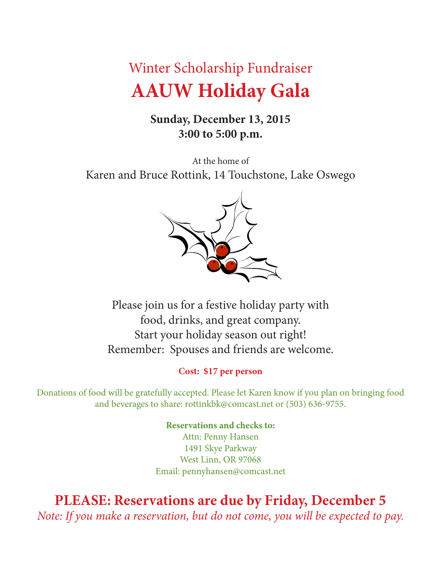# Winter Scholarship Fundraiser **AAUW Holiday Gala**

# **Sunday, December 13, 2015 3:00 to 5:00 p.m.**

At the home of Karen and Bruce Rottink, 14 Touchstone, Lake Oswego



Please join us for a festive holiday party with food, drinks, and great company. Start your holiday season out right! Remember: Spouses and friends are welcome.

# **Cost: \$17 per person**

Donations of food will be gratefully accepted. Please let Karen know if you plan on bringing food and beverages to share: rottinkbk@comcast.net or (503) 636-9755.

> **Reservations and checks to:** Attn: Penny Hansen 1491 Skye Parkway West Linn, OR 97068 Email: pennyhansen@comcast.net

**PLEASE: Reservations are due by Friday, December 5** *Note: If you make a reservation, but do not come, you will be expected to pay.*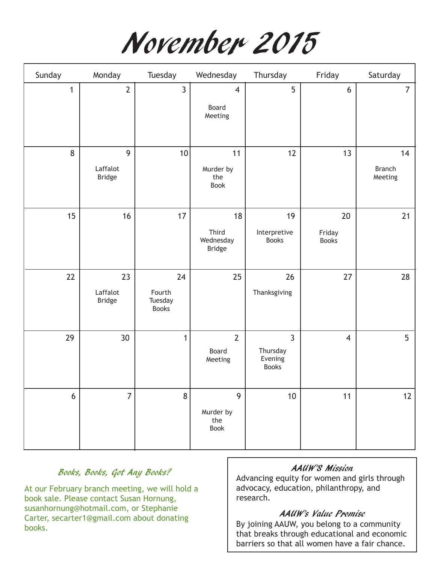November 2015

| Sunday       | Monday                         | Tuesday                                 | Wednesday                                 | Thursday                                              | Friday                       | Saturday                       |
|--------------|--------------------------------|-----------------------------------------|-------------------------------------------|-------------------------------------------------------|------------------------------|--------------------------------|
| $\mathbf{1}$ | $\overline{2}$                 | $\mathbf{3}$                            | $\overline{4}$<br>Board<br>Meeting        | 5                                                     | 6                            | $\overline{7}$                 |
| 8            | 9<br>Laffalot<br><b>Bridge</b> | 10                                      | 11<br>Murder by<br>the<br>Book            | 12                                                    | 13                           | 14<br><b>Branch</b><br>Meeting |
| 15           | 16                             | 17                                      | 18<br>Third<br>Wednesday<br><b>Bridge</b> | 19<br>Interpretive<br><b>Books</b>                    | 20<br>Friday<br><b>Books</b> | 21                             |
| 22           | 23<br>Laffalot<br>Bridge       | 24<br>Fourth<br>Tuesday<br><b>Books</b> | 25                                        | 26<br>Thanksgiving                                    | 27                           | 28                             |
| 29           | 30                             | $\mathbf{1}$                            | $\overline{2}$<br>Board<br>Meeting        | $\overline{3}$<br>Thursday<br>Evening<br><b>Books</b> | $\overline{4}$               | 5                              |
| 6            | $\overline{7}$                 | 8                                       | 9<br>Murder by<br>the<br>Book             | $10$                                                  | 11                           | 12                             |

## Books, Books, Got Any Books?

At our February branch meeting, we will hold a book sale. Please contact Susan Hornung, susanhornung@hotmail.com, or Stephanie Carter, secarter1@gmail.com about donating books.

#### AAUW'S Mission

Advancing equity for women and girls through advocacy, education, philanthropy, and research.

#### AAUW's Value Promise

By joining AAUW, you belong to a community that breaks through educational and economic barriers so that all women have a fair chance.